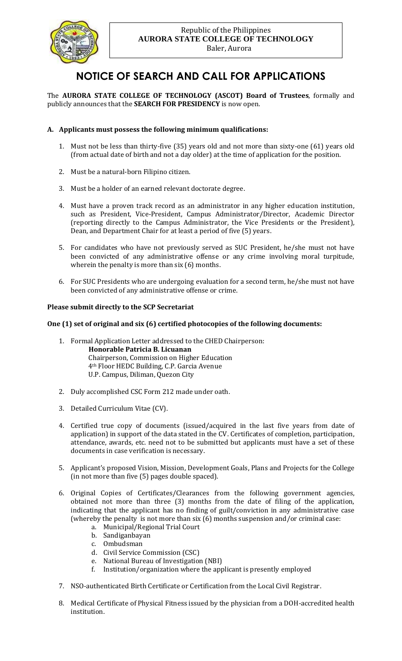

# **NOTICE OF SEARCH AND CALL FOR APPLICATIONS**

The **AURORA STATE COLLEGE OF TECHNOLOGY (ASCOT) Board of Trustees**, formally and publicly announces that the **SEARCH FOR PRESIDENCY** is now open.

## **A. Applicants must possess the following minimum qualifications:**

- 1. Must not be less than thirty-five (35) years old and not more than sixty-one (61) years old (from actual date of birth and not a day older) at the time of application for the position.
- 2. Must be a natural-born Filipino citizen.
- 3. Must be a holder of an earned relevant doctorate degree.
- 4. Must have a proven track record as an administrator in any higher education institution, such as President, Vice-President, Campus Administrator/Director, Academic Director (reporting directly to the Campus Administrator, the Vice Presidents or the President), Dean, and Department Chair for at least a period of five (5) years.
- 5. For candidates who have not previously served as SUC President, he/she must not have been convicted of any administrative offense or any crime involving moral turpitude, wherein the penalty is more than six (6) months.
- 6. For SUC Presidents who are undergoing evaluation for a second term, he/she must not have been convicted of any administrative offense or crime.

#### **Please submit directly to the SCP Secretariat**

### **One (1) set of original and six (6) certified photocopies of the following documents:**

- 1. Formal Application Letter addressed to the CHED Chairperson: **Honorable Patricia B. Licuanan** Chairperson, Commission on Higher Education 4th Floor HEDC Building, C.P. Garcia Avenue U.P. Campus, Diliman, Quezon City
- 2. Duly accomplished CSC Form 212 made under oath.
- 3. Detailed Curriculum Vitae (CV).
- 4. Certified true copy of documents (issued/acquired in the last five years from date of application) in support of the data stated in the CV. Certificates of completion, participation, attendance, awards, etc. need not to be submitted but applicants must have a set of these documents in case verification is necessary.
- 5. Applicant's proposed Vision, Mission, Development Goals, Plans and Projects for the College (in not more than five (5) pages double spaced).
- 6. Original Copies of Certificates/Clearances from the following government agencies, obtained not more than three (3) months from the date of filing of the application, indicating that the applicant has no finding of guilt/conviction in any administrative case (whereby the penalty is not more than six (6) months suspension and/or criminal case:
	- a. Municipal/Regional Trial Court
	- b. Sandiganbayan
	- c. Ombudsman
	- d. Civil Service Commission (CSC)
	- e. National Bureau of Investigation (NBI)
	- f. Institution/organization where the applicant is presently employed
- 7. NSO-authenticated Birth Certificate or Certification from the Local Civil Registrar.
- 8. Medical Certificate of Physical Fitness issued by the physician from a DOH-accredited health institution.